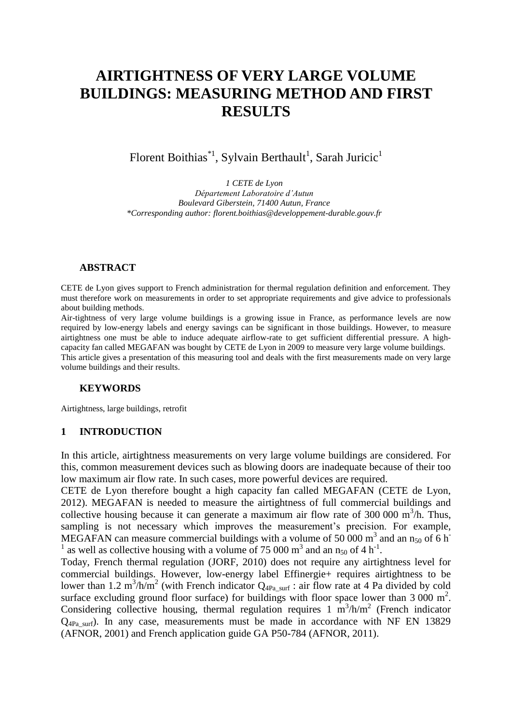# **AIRTIGHTNESS OF VERY LARGE VOLUME BUILDINGS: MEASURING METHOD AND FIRST RESULTS**

Florent Boithias<sup>\*1</sup>, Sylvain Berthault<sup>1</sup>, Sarah Juricic<sup>1</sup>

*1 CETE de Lyon Département Laboratoire d'Autun Boulevard Giberstein, 71400 Autun, France \*Corresponding author: florent.boithias@developpement-durable.gouv.fr*

## **ABSTRACT**

CETE de Lyon gives support to French administration for thermal regulation definition and enforcement. They must therefore work on measurements in order to set appropriate requirements and give advice to professionals about building methods.

Air-tightness of very large volume buildings is a growing issue in France, as performance levels are now required by low-energy labels and energy savings can be significant in those buildings. However, to measure airtightness one must be able to induce adequate airflow-rate to get sufficient differential pressure. A highcapacity fan called MEGAFAN was bought by CETE de Lyon in 2009 to measure very large volume buildings. This article gives a presentation of this measuring tool and deals with the first measurements made on very large volume buildings and their results.

### **KEYWORDS**

Airtightness, large buildings, retrofit

### **1 INTRODUCTION**

In this article, airtightness measurements on very large volume buildings are considered. For this, common measurement devices such as blowing doors are inadequate because of their too low maximum air flow rate. In such cases, more powerful devices are required.

CETE de Lyon therefore bought a high capacity fan called MEGAFAN (CETE de Lyon, 2012). MEGAFAN is needed to measure the airtightness of full commercial buildings and collective housing because it can generate a maximum air flow rate of 300 000  $\text{m}^3/\text{h}$ . Thus, sampling is not necessary which improves the measurement's precision. For example, MEGAFAN can measure commercial buildings with a volume of 50 000 m<sup>3</sup> and an n<sub>50</sub> of 6 h<sup>-</sup> <sup>1</sup> as well as collective housing with a volume of 75 000 m<sup>3</sup> and an  $n_{50}$  of 4 h<sup>-1</sup>.

Today, French thermal regulation (JORF, 2010) does not require any airtightness level for commercial buildings. However, low-energy label Effinergie+ requires airtightness to be lower than 1.2 m<sup>3</sup>/h/m<sup>2</sup> (with French indicator  $Q_{4Pa\_surf}$ : air flow rate at 4 Pa divided by cold surface excluding ground floor surface) for buildings with floor space lower than  $3\,000 \text{ m}^2$ . Considering collective housing, thermal regulation requires  $1 \text{ m}^3/\text{h/m}^2$  (French indicator  $Q_{4Pa\,{\rm surf}}$ ). In any case, measurements must be made in accordance with NF EN 13829 (AFNOR, 2001) and French application guide GA P50-784 (AFNOR, 2011).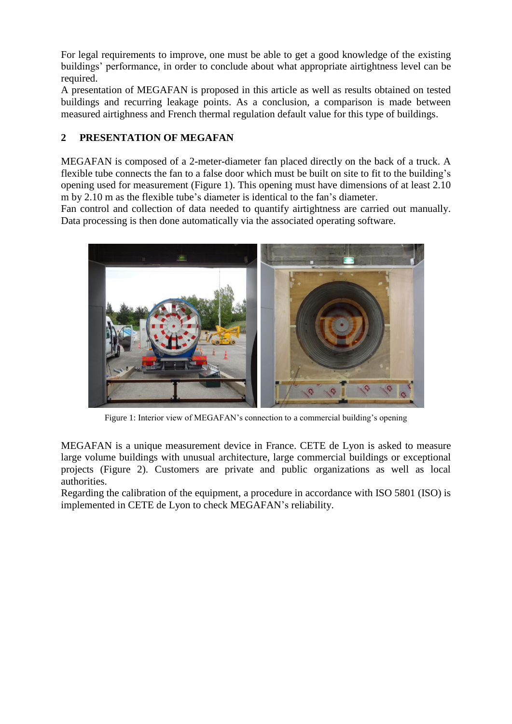For legal requirements to improve, one must be able to get a good knowledge of the existing buildings' performance, in order to conclude about what appropriate airtightness level can be required.

A presentation of MEGAFAN is proposed in this article as well as results obtained on tested buildings and recurring leakage points. As a conclusion, a comparison is made between measured airtighness and French thermal regulation default value for this type of buildings.

# **2 PRESENTATION OF MEGAFAN**

MEGAFAN is composed of a 2-meter-diameter fan placed directly on the back of a truck. A flexible tube connects the fan to a false door which must be built on site to fit to the building's opening used for measurement (Figure 1). This opening must have dimensions of at least 2.10 m by 2.10 m as the flexible tube's diameter is identical to the fan's diameter.

Fan control and collection of data needed to quantify airtightness are carried out manually. Data processing is then done automatically via the associated operating software.



Figure 1: Interior view of MEGAFAN's connection to a commercial building's opening

MEGAFAN is a unique measurement device in France. CETE de Lyon is asked to measure large volume buildings with unusual architecture, large commercial buildings or exceptional projects (Figure 2). Customers are private and public organizations as well as local authorities.

Regarding the calibration of the equipment, a procedure in accordance with ISO 5801 (ISO) is implemented in CETE de Lyon to check MEGAFAN's reliability.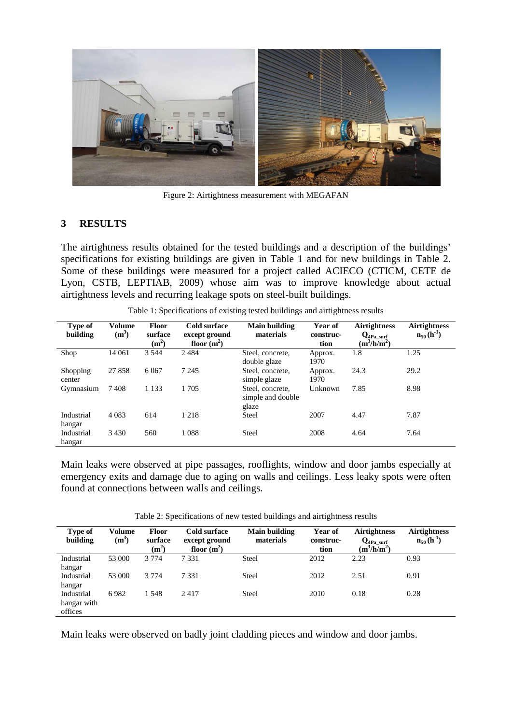

Figure 2: Airtightness measurement with MEGAFAN

## **3 RESULTS**

The airtightness results obtained for the tested buildings and a description of the buildings' specifications for existing buildings are given in Table 1 and for new buildings in Table 2. Some of these buildings were measured for a project called ACIECO (CTICM, CETE de Lyon, CSTB, LEPTIAB, 2009) whose aim was to improve knowledge about actual airtightness levels and recurring leakage spots on steel-built buildings.

| <b>Type of</b><br>building | Volume<br>$(m^3)$ | <b>Floor</b><br>surface<br>(m <sup>2</sup> ) | Cold surface<br>except ground<br>floor $(m^2)$ | Main building<br>materials                     | Year of<br>construc-<br>tion | <b>Airtightness</b><br>$Q_{4Pa\_surf}$<br>$(m^3/h/m^2)$ | <b>Airtightness</b><br>$n_{50}$ (h <sup>-1</sup> ) |
|----------------------------|-------------------|----------------------------------------------|------------------------------------------------|------------------------------------------------|------------------------------|---------------------------------------------------------|----------------------------------------------------|
| Shop                       | 14 061            | 3 5 4 4                                      | 2484                                           | Steel, concrete,<br>double glaze               | Approx.<br>1970              | 1.8                                                     | 1.25                                               |
| Shopping<br>center         | 27858             | 6 0 6 7                                      | 7 2 4 5                                        | Steel, concrete,<br>simple glaze               | Approx.<br>1970              | 24.3                                                    | 29.2                                               |
| Gymnasium                  | 7408              | 1 1 3 3                                      | 1705                                           | Steel, concrete,<br>simple and double<br>glaze | Unknown                      | 7.85                                                    | 8.98                                               |
| Industrial<br>hangar       | 4 0 8 3           | 614                                          | 1 2 1 8                                        | Steel                                          | 2007                         | 4.47                                                    | 7.87                                               |
| Industrial<br>hangar       | 3 4 3 0           | 560                                          | 1088                                           | <b>Steel</b>                                   | 2008                         | 4.64                                                    | 7.64                                               |

Table 1: Specifications of existing tested buildings and airtightness results

Main leaks were observed at pipe passages, rooflights, window and door jambs especially at emergency exits and damage due to aging on walls and ceilings. Less leaky spots were often found at connections between walls and ceilings.

Table 2: Specifications of new tested buildings and airtightness results

| Type of<br>building                  | Volume<br>$(m^3)$ | Floor<br>surface<br>(m <sup>2</sup> ) | <b>Cold surface</b><br>except ground<br>floor $(m^2)$ | <b>Main building</b><br>materials | Year of<br>construc-<br>tion | <b>Airtightness</b><br>$Q_{4Pa \, surf}$<br>$(m^3/h/m^2)$ | <b>Airtightness</b><br>$n_{50}$ (h <sup>-1</sup> ) |
|--------------------------------------|-------------------|---------------------------------------|-------------------------------------------------------|-----------------------------------|------------------------------|-----------------------------------------------------------|----------------------------------------------------|
| Industrial<br>hangar                 | 53 000            | 3 7 7 4                               | 7 3 3 1                                               | Steel                             | 2012                         | 2.23                                                      | 0.93                                               |
| Industrial<br>hangar                 | 53 000            | 3 7 7 4                               | 7 3 3 1                                               | <b>Steel</b>                      | 2012                         | 2.51                                                      | 0.91                                               |
| Industrial<br>hangar with<br>offices | 6982              | 1 548                                 | 2417                                                  | <b>Steel</b>                      | 2010                         | 0.18                                                      | 0.28                                               |

Main leaks were observed on badly joint cladding pieces and window and door jambs.